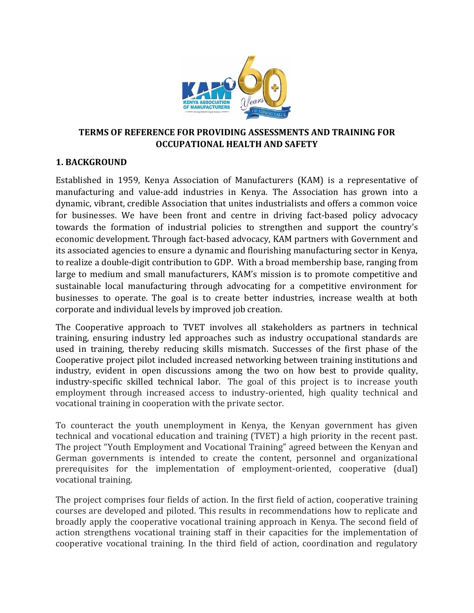

## **TERMS OF REFERENCE FOR PROVIDING ASSESSMENTS AND TRAINING FOR OCCUPATIONAL HEALTH AND SAFETY**

## **1. BACKGROUND**

Established in 1959, Kenya Association of Manufacturers (KAM) is a representative of manufacturing and value-add industries in Kenya. The Association has grown into a dynamic, vibrant, credible Association that unites industrialists and offers a common voice for businesses. We have been front and centre in driving fact-based policy advocacy towards the formation of industrial policies to strengthen and support the country's economic development. Through fact-based advocacy, KAM partners with Government and its associated agencies to ensure a dynamic and flourishing manufacturing sector in Kenya, to realize a double-digit contribution to GDP. With a broad membership base, ranging from large to medium and small manufacturers, KAM's mission is to promote competitive and sustainable local manufacturing through advocating for a competitive environment for businesses to operate. The goal is to create better industries, increase wealth at both corporate and individual levels by improved job creation.

The Cooperative approach to TVET involves all stakeholders as partners in technical training, ensuring industry led approaches such as industry occupational standards are used in training, thereby reducing skills mismatch. Successes of the first phase of the Cooperative project pilot included increased networking between training institutions and industry, evident in open discussions among the two on how best to provide quality, industry-specific skilled technical labor. The goal of this project is to increase youth employment through increased access to industry-oriented, high quality technical and vocational training in cooperation with the private sector.

To counteract the youth unemployment in Kenya, the Kenyan government has given technical and vocational education and training (TVET) a high priority in the recent past. The project "Youth Employment and Vocational Training" agreed between the Kenyan and German governments is intended to create the content, personnel and organizational prerequisites for the implementation of employment-oriented, cooperative (dual) vocational training.

The project comprises four fields of action. In the first field of action, cooperative training courses are developed and piloted. This results in recommendations how to replicate and broadly apply the cooperative vocational training approach in Kenya. The second field of action strengthens vocational training staff in their capacities for the implementation of cooperative vocational training. In the third field of action, coordination and regulatory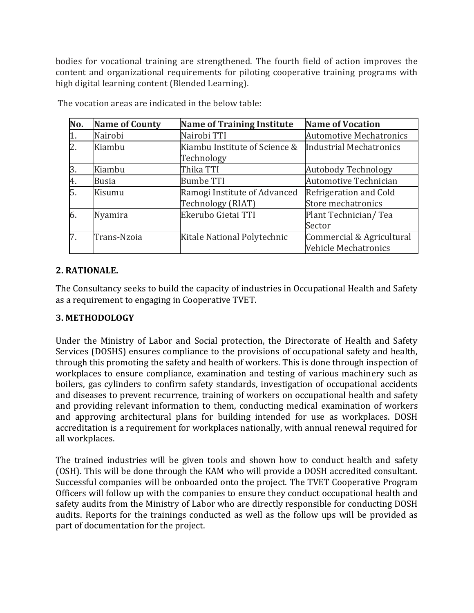bodies for vocational training are strengthened. The fourth field of action improves the content and organizational requirements for piloting cooperative training programs with high digital learning content (Blended Learning).

| No.              | <b>Name of County</b> | <b>Name of Training Institute</b> | <b>Name of Vocation</b>        |
|------------------|-----------------------|-----------------------------------|--------------------------------|
| 1.               | Nairobi               | Nairobi TTI                       | <b>Automotive Mechatronics</b> |
| $\overline{2}$ . | Kiambu                | Kiambu Institute of Science &     | <b>Industrial Mechatronics</b> |
|                  |                       | Technology                        |                                |
| 3.               | Kiambu                | Thika TTI                         | <b>Autobody Technology</b>     |
| 4.               | <b>Busia</b>          | <b>Bumbe TTI</b>                  | Automotive Technician          |
| 5.               | Kisumu                | Ramogi Institute of Advanced      | Refrigeration and Cold         |
|                  |                       | Technology (RIAT)                 | Store mechatronics             |
| 6.               | Nyamira               | Ekerubo Gietai TTI                | Plant Technician/Tea           |
|                  |                       |                                   | Sector                         |
| 7.               | Trans-Nzoia           | Kitale National Polytechnic       | Commercial & Agricultural      |
|                  |                       |                                   | Vehicle Mechatronics           |

The vocation areas are indicated in the below table:

### **2. RATIONALE.**

The Consultancy seeks to build the capacity of industries in Occupational Health and Safety as a requirement to engaging in Cooperative TVET.

#### **3. METHODOLOGY**

Under the Ministry of Labor and Social protection, the Directorate of Health and Safety Services (DOSHS) ensures compliance to the provisions of occupational safety and health, through this promoting the safety and health of workers. This is done through inspection of workplaces to ensure compliance, examination and testing of various machinery such as boilers, gas cylinders to confirm safety standards, investigation of occupational accidents and diseases to prevent recurrence, training of workers on occupational health and safety and providing relevant information to them, conducting medical examination of workers and approving architectural plans for building intended for use as workplaces. DOSH accreditation is a requirement for workplaces nationally, with annual renewal required for all workplaces.

The trained industries will be given tools and shown how to conduct health and safety (OSH). This will be done through the KAM who will provide a DOSH accredited consultant. Successful companies will be onboarded onto the project. The TVET Cooperative Program Officers will follow up with the companies to ensure they conduct occupational health and safety audits from the Ministry of Labor who are directly responsible for conducting DOSH audits. Reports for the trainings conducted as well as the follow ups will be provided as part of documentation for the project.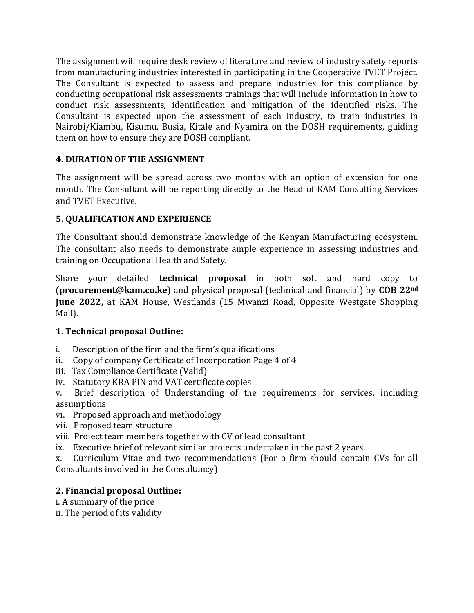The assignment will require desk review of literature and review of industry safety reports from manufacturing industries interested in participating in the Cooperative TVET Project. The Consultant is expected to assess and prepare industries for this compliance by conducting occupational risk assessments trainings that will include information in how to conduct risk assessments, identification and mitigation of the identified risks. The Consultant is expected upon the assessment of each industry, to train industries in Nairobi/Kiambu, Kisumu, Busia, Kitale and Nyamira on the DOSH requirements, guiding them on how to ensure they are DOSH compliant.

# **4. DURATION OF THE ASSIGNMENT**

The assignment will be spread across two months with an option of extension for one month. The Consultant will be reporting directly to the Head of KAM Consulting Services and TVET Executive.

# **5. QUALIFICATION AND EXPERIENCE**

The Consultant should demonstrate knowledge of the Kenyan Manufacturing ecosystem. The consultant also needs to demonstrate ample experience in assessing industries and training on Occupational Health and Safety.

Share your detailed **technical proposal** in both soft and hard copy to (**procurement@kam.co.ke**) and physical proposal (technical and financial) by **COB 22nd June 2022,** at KAM House, Westlands (15 Mwanzi Road, Opposite Westgate Shopping Mall).

## **1. Technical proposal Outline:**

- i. Description of the firm and the firm's qualifications
- ii. Copy of company Certificate of Incorporation Page 4 of 4
- iii. Tax Compliance Certificate (Valid)
- iv. Statutory KRA PIN and VAT certificate copies

v. Brief description of Understanding of the requirements for services, including assumptions

- vi. Proposed approach and methodology
- vii. Proposed team structure
- viii. Project team members together with CV of lead consultant
- ix. Executive brief of relevant similar projects undertaken in the past 2 years.

x. Curriculum Vitae and two recommendations (For a firm should contain CVs for all Consultants involved in the Consultancy)

## **2. Financial proposal Outline:**

- i. A summary of the price
- ii. The period of its validity